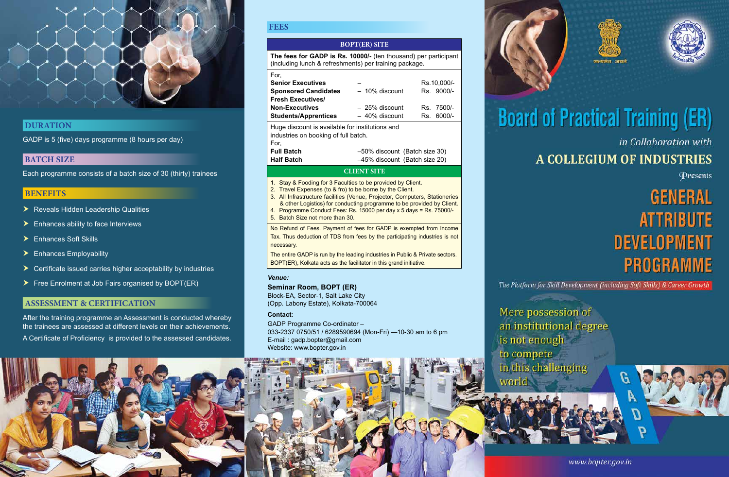

### **Duration**

GADP is 5 (five) days programme (8 hours per day)

#### **BATCH SIZE**

Each programme consists of a batch size of 30 (thirty) trainees

#### **Benefits**

- ▶ Reveals Hidden Leadership Qualities
- $\blacktriangleright$  Enhances ability to face Interviews
- $\blacktriangleright$  Fnhances Soft Skills
- $\blacktriangleright$  Enhances Employability
- $\triangleright$  Certificate issued carries higher acceptability by industries
- $\triangleright$  Free Enrolment at Job Fairs organised by BOPT(ER)

#### **ASSESSMENT & CERTIFICATION**

After the training programme an Assessment is conducted whereby the trainees are assessed at different levels on their achievements.

A Certificate of Proficiency is provided to the assessed candidates.

#### **Fees**

#### **BOPT(ER) SITE**

**The fees for GADP is Rs. 10000/-** (ten thousand) per participant (including lunch & refreshments) per training package.

| For,                                                                                    |                               |                 |
|-----------------------------------------------------------------------------------------|-------------------------------|-----------------|
| <b>Senior Executives</b>                                                                |                               | Rs.10,000/-     |
| <b>Sponsored Candidates</b>                                                             | $-10\%$ discount              | Rs. 9000/-      |
| <b>Fresh Executives/</b>                                                                |                               |                 |
| <b>Non-Executives</b>                                                                   | $-25%$ discount               | 7500/-<br>Rs    |
| <b>Students/Apprentices</b>                                                             | $-40\%$ discount              | $6000/-$<br>Rs. |
| Huge discount is available for institutions and<br>industries on booking of full batch. |                               |                 |
| For,                                                                                    |                               |                 |
| <b>Full Batch</b>                                                                       | -50% discount (Batch size 30) |                 |
|                                                                                         |                               |                 |

## **Half Batch** –45% discount (Batch size 20)

#### **CLIENT SITE**

- 1. Stay & Fooding for 3 Faculties to be provided by Client.
- 2. Travel Expenses (to & fro) to be borne by the Client.
- 3. All Infrastructure facilities (Venue, Projector, Computers, Stationeries & other Logistics) for conducting programme to be provided by Client.
- 4. Programme Conduct Fees: Rs. 15000 per day x 5 days = Rs. 75000/-
- 5. Batch Size not more than 30.

No Refund of Fees. Payment of fees for GADP is exempted from Income Tax. Thus deduction of TDS from fees by the participating industries is not necessary.

The entire GADP is run by the leading industries in Public & Private sectors. BOPT(ER), Kolkata acts as the facilitator in this grand initiative.

#### *Venue:*

#### **Seminar Room, BOPT (ER)**

Block-EA, Sector-1, Salt Lake City (Opp. Labony Estate), Kolkata-700064

#### **Contact**:

GADP Programme Co-ordinator – 033-2337 0750/51 / 6289590694 (Mon-Fri) —10-30 am to 6 pm E-mail : gadp.bopter@gmail.com Website: www.bopter.gov.in

world









# **Board of Practical Training (ER)** in Collaboration with **A COLLEGIUM OF INDUSTRIES**

Presents

# **GENERAL ATTRIBUTE DEVELOPMENT PROGRAMME**

The Platform for Skill Development (including Soft Skills) & Career Growth

Mere possession of an institutional degree is not enough to compete in this challenging

www.bopter.gov.in

D